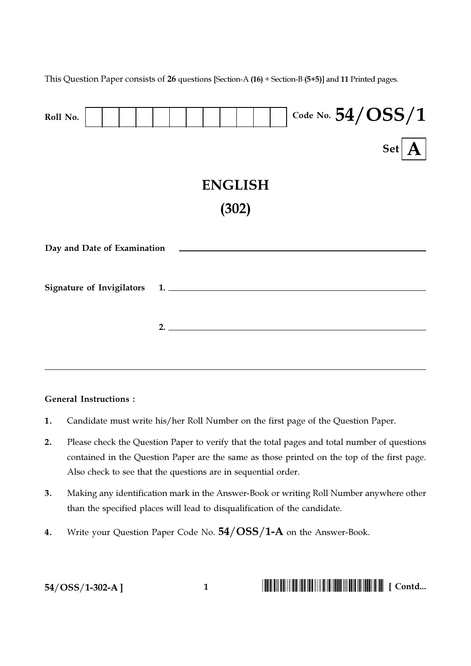| This Question Paper consists of 26 questions [Section-A (16) + Section-B (5+5)] and 11 Printed pages. |                               |  |                     |
|-------------------------------------------------------------------------------------------------------|-------------------------------|--|---------------------|
| Roll No.                                                                                              |                               |  | Code No. $54/OSS/1$ |
|                                                                                                       |                               |  | Set                 |
|                                                                                                       | <b>ENGLISH</b>                |  |                     |
|                                                                                                       | (302)                         |  |                     |
| Day and Date of Examination                                                                           |                               |  |                     |
|                                                                                                       |                               |  |                     |
|                                                                                                       | $2.$ $\overline{\phantom{a}}$ |  |                     |
|                                                                                                       |                               |  |                     |

### General Instructions :

- 1. Candidate must write his/her Roll Number on the first page of the Question Paper.
- 2. Please check the Question Paper to verify that the total pages and total number of questions contained in the Question Paper are the same as those printed on the top of the first page. Also check to see that the questions are in sequential order.
- 3. Making any identification mark in the Answer-Book or writing Roll Number anywhere other than the specified places will lead to disqualification of the candidate.
- 4. Write your Question Paper Code No. 54/OSS/1-A on the Answer-Book.

<sup>54</sup>/OSS/1-302-A ] <sup>1</sup> !54/OSS/1-302-A! [ Contd...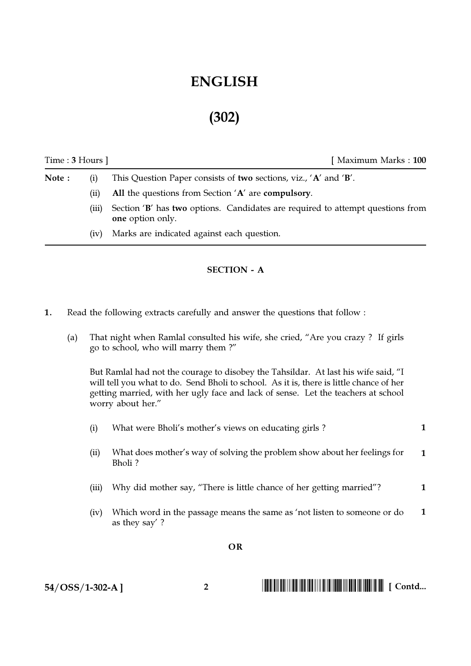# ENGLISH

# (302)

| Time: 3 Hours ] |       | [ Maximum Marks : 100                                                                                                       |
|-----------------|-------|-----------------------------------------------------------------------------------------------------------------------------|
| Note:           | (ii)  | This Question Paper consists of two sections, viz., $'A'$ and $'B'$ .<br>All the questions from Section 'A' are compulsory. |
|                 | (iii) | Section 'B' has two options. Candidates are required to attempt questions from<br>one option only.                          |
|                 | (iv)  | Marks are indicated against each question.                                                                                  |

### SECTION - A

- 1. Read the following extracts carefully and answer the questions that follow :
	- (a) That night when Ramlal consulted his wife, she cried, "Are you crazy ? If girls go to school, who will marry them ?"

But Ramlal had not the courage to disobey the Tahsildar. At last his wife said, "I will tell you what to do. Send Bholi to school. As it is, there is little chance of her getting married, with her ugly face and lack of sense. Let the teachers at school worry about her."

| (i)   | What were Bholi's mother's views on educating girls?                                      |   |
|-------|-------------------------------------------------------------------------------------------|---|
| (ii)  | What does mother's way of solving the problem show about her feelings for<br>Bholi?       | 1 |
| (iii) | Why did mother say, "There is little chance of her getting married"?                      |   |
| (iv)  | Which word in the passage means the same as 'not listen to someone or do<br>as they say'? |   |

#### OR

<sup>54</sup>/OSS/1-302-A ] <sup>2</sup> !54/OSS/1-302-A! [ Contd...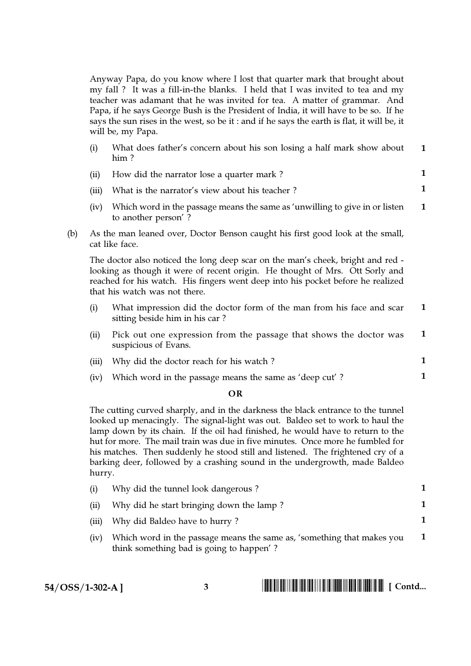Anyway Papa, do you know where I lost that quarter mark that brought about my fall ? It was a fill-in-the blanks. I held that I was invited to tea and my teacher was adamant that he was invited for tea. A matter of grammar. And Papa, if he says George Bush is the President of India, it will have to be so. If he says the sun rises in the west, so be it : and if he says the earth is flat, it will be, it will be, my Papa.

- (i) What does father's concern about his son losing a half mark show about him ? 1
- (ii) How did the narrator lose a quarter mark ? 1
- (iii) What is the narrator's view about his teacher ?
- (iv) Which word in the passage means the same as 'unwilling to give in or listen to another person' ? 1
- (b) As the man leaned over, Doctor Benson caught his first good look at the small, cat like face.

The doctor also noticed the long deep scar on the man's cheek, bright and red looking as though it were of recent origin. He thought of Mrs. Ott Sorly and reached for his watch. His fingers went deep into his pocket before he realized that his watch was not there.

- (i) What impression did the doctor form of the man from his face and scar sitting beside him in his car ? 1
- (ii) Pick out one expression from the passage that shows the doctor was suspicious of Evans. 1
- (iii) Why did the doctor reach for his watch ? 1
- (iv) Which word in the passage means the same as 'deep cut' ?

#### OR

The cutting curved sharply, and in the darkness the black entrance to the tunnel looked up menacingly. The signal-light was out. Baldeo set to work to haul the lamp down by its chain. If the oil had finished, he would have to return to the hut for more. The mail train was due in five minutes. Once more he fumbled for his matches. Then suddenly he stood still and listened. The frightened cry of a barking deer, followed by a crashing sound in the undergrowth, made Baldeo hurry.

| (i)   | Why did the tunnel look dangerous?                                                                                 |   |
|-------|--------------------------------------------------------------------------------------------------------------------|---|
| (ii)  | Why did he start bringing down the lamp?                                                                           |   |
| (iii) | Why did Baldeo have to hurry?                                                                                      |   |
| (iv)  | Which word in the passage means the same as, 'something that makes you<br>think something bad is going to happen'? | 1 |

1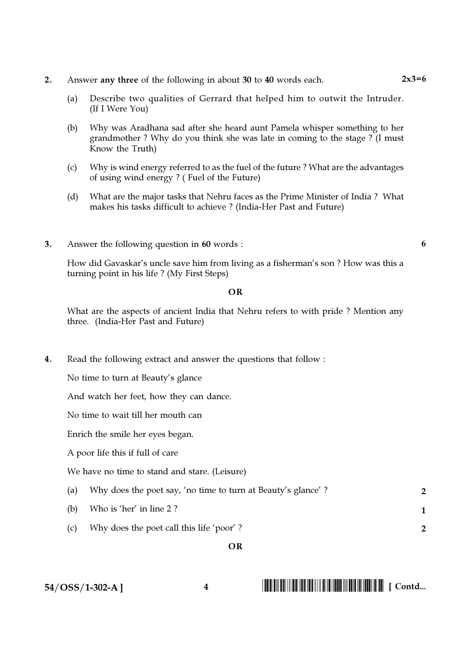- 2. Answer any three of the following in about 30 to 40 words each.
	- (a) Describe two qualities of Gerrard that helped him to outwit the Intruder. (If I Were You)
	- (b) Why was Aradhana sad after she heard aunt Pamela whisper something to her grandmother ? Why do you think she was late in coming to the stage ? (I must Know the Truth)
	- (c) Why is wind energy referred to as the fuel of the future ? What are the advantages of using wind energy ? ( Fuel of the Future)
	- (d) What are the major tasks that Nehru faces as the Prime Minister of India ? What makes his tasks difficult to achieve ? (India-Her Past and Future)
- 3. Answer the following question in 60 words :

How did Gavaskar's uncle save him from living as a fisherman's son ? How was this a turning point in his life ? (My First Steps)

OR

What are the aspects of ancient India that Nehru refers to with pride ? Mention any three. (India-Her Past and Future)

4. Read the following extract and answer the questions that follow :

No time to turn at Beauty's glance

And watch her feet, how they can dance.

No time to wait till her mouth can

Enrich the smile her eyes began.

A poor life this if full of care

We have no time to stand and stare. (Leisure)

(a) Why does the poet say, 'no time to turn at Beauty's glance' ? (b) Who is 'her' in line 2 ? (c) Why does the poet call this life 'poor' ? 2  $\mathcal{P}$ 1

OR

<sup>54</sup>/OSS/1-302-A ] <sup>4</sup> !54/OSS/1-302-A! [ Contd...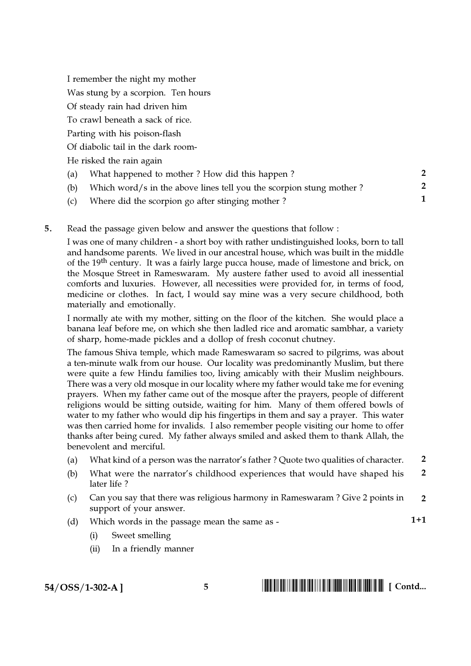I remember the night my mother Was stung by a scorpion. Ten hours Of steady rain had driven him To crawl beneath a sack of rice. Parting with his poison-flash Of diabolic tail in the dark room-He risked the rain again (a) What happened to mother ? How did this happen ? (b) Which word/s in the above lines tell you the scorpion stung mother ?

- (c) Where did the scorpion go after stinging mother ?
- 5. Read the passage given below and answer the questions that follow :

I was one of many children - a short boy with rather undistinguished looks, born to tall and handsome parents. We lived in our ancestral house, which was built in the middle of the 19<sup>th</sup> century. It was a fairly large pucca house, made of limestone and brick, on the Mosque Street in Rameswaram. My austere father used to avoid all inessential comforts and luxuries. However, all necessities were provided for, in terms of food, medicine or clothes. In fact, I would say mine was a very secure childhood, both materially and emotionally.

I normally ate with my mother, sitting on the floor of the kitchen. She would place a banana leaf before me, on which she then ladled rice and aromatic sambhar, a variety of sharp, home-made pickles and a dollop of fresh coconut chutney.

The famous Shiva temple, which made Rameswaram so sacred to pilgrims, was about a ten-minute walk from our house. Our locality was predominantly Muslim, but there were quite a few Hindu families too, living amicably with their Muslim neighbours. There was a very old mosque in our locality where my father would take me for evening prayers. When my father came out of the mosque after the prayers, people of different religions would be sitting outside, waiting for him. Many of them offered bowls of water to my father who would dip his fingertips in them and say a prayer. This water was then carried home for invalids. I also remember people visiting our home to offer thanks after being cured. My father always smiled and asked them to thank Allah, the benevolent and merciful.

- (a) What kind of a person was the narrator's father ? Quote two qualities of character. 2
- (b) What were the narrator's childhood experiences that would have shaped his later life ? 2
- (c) Can you say that there was religious harmony in Rameswaram ? Give 2 points in support of your answer.  $\mathfrak{p}$
- (d) Which words in the passage mean the same as
	- (i) Sweet smelling
	- (ii) In a friendly manner

<sup>54</sup>/OSS/1-302-A ] <sup>5</sup> !54/OSS/1-302-A! [ Contd...

2 2

1

 $1+1$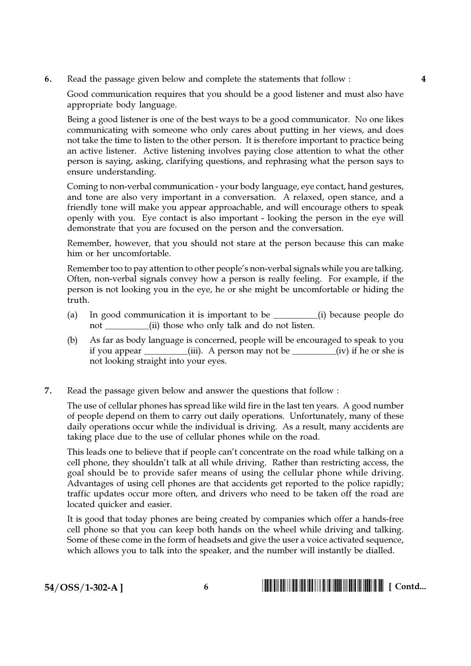6. Read the passage given below and complete the statements that follow :

Good communication requires that you should be a good listener and must also have appropriate body language.

Being a good listener is one of the best ways to be a good communicator. No one likes communicating with someone who only cares about putting in her views, and does not take the time to listen to the other person. It is therefore important to practice being an active listener. Active listening involves paying close attention to what the other person is saying, asking, clarifying questions, and rephrasing what the person says to ensure understanding.

Coming to non-verbal communication - your body language, eye contact, hand gestures, and tone are also very important in a conversation. A relaxed, open stance, and a friendly tone will make you appear approachable, and will encourage others to speak openly with you. Eye contact is also important - looking the person in the eye will demonstrate that you are focused on the person and the conversation.

Remember, however, that you should not stare at the person because this can make him or her uncomfortable.

Remember too to pay attention to other people's non-verbal signals while you are talking. Often, non-verbal signals convey how a person is really feeling. For example, if the person is not looking you in the eye, he or she might be uncomfortable or hiding the truth.

- (a) In good communication it is important to be \_\_\_\_\_\_\_\_\_\_(i) because people do not \_\_\_\_\_\_\_\_(ii) those who only talk and do not listen.
- (b) As far as body language is concerned, people will be encouraged to speak to you if you appear  $\qquad$  (iii). A person may not be  $\qquad$  (iv) if he or she is not looking straight into your eyes.
- 7. Read the passage given below and answer the questions that follow :

The use of cellular phones has spread like wild fire in the last ten years. A good number of people depend on them to carry out daily operations. Unfortunately, many of these daily operations occur while the individual is driving. As a result, many accidents are taking place due to the use of cellular phones while on the road.

This leads one to believe that if people can't concentrate on the road while talking on a cell phone, they shouldn't talk at all while driving. Rather than restricting access, the goal should be to provide safer means of using the cellular phone while driving. Advantages of using cell phones are that accidents get reported to the police rapidly; traffic updates occur more often, and drivers who need to be taken off the road are located quicker and easier.

It is good that today phones are being created by companies which offer a hands-free cell phone so that you can keep both hands on the wheel while driving and talking. Some of these come in the form of headsets and give the user a voice activated sequence, which allows you to talk into the speaker, and the number will instantly be dialled.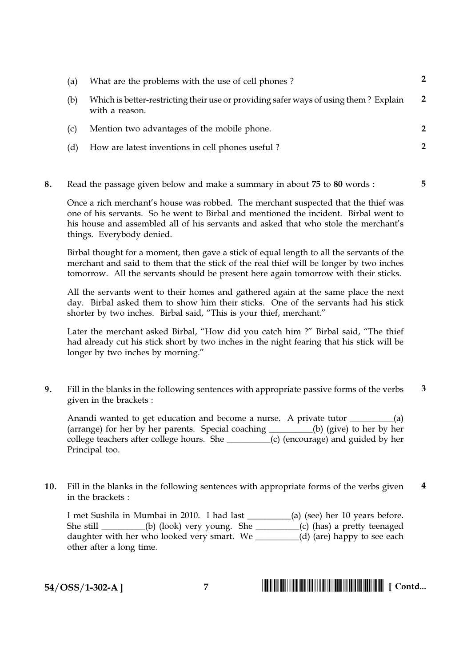| (a) | What are the problems with the use of cell phones?                                                     |                |
|-----|--------------------------------------------------------------------------------------------------------|----------------|
| (b) | Which is better-restricting their use or providing safer ways of using them? Explain<br>with a reason. | $\overline{2}$ |
| (c) | Mention two advantages of the mobile phone.                                                            | $\mathcal{P}$  |
| (d) | How are latest inventions in cell phones useful?                                                       | 2              |
|     |                                                                                                        |                |

8. Read the passage given below and make a summary in about 75 to 80 words :

Once a rich merchant's house was robbed. The merchant suspected that the thief was one of his servants. So he went to Birbal and mentioned the incident. Birbal went to his house and assembled all of his servants and asked that who stole the merchant's things. Everybody denied.

Birbal thought for a moment, then gave a stick of equal length to all the servants of the merchant and said to them that the stick of the real thief will be longer by two inches tomorrow. All the servants should be present here again tomorrow with their sticks.

All the servants went to their homes and gathered again at the same place the next day. Birbal asked them to show him their sticks. One of the servants had his stick shorter by two inches. Birbal said, "This is your thief, merchant."

Later the merchant asked Birbal, "How did you catch him ?" Birbal said, "The thief had already cut his stick short by two inches in the night fearing that his stick will be longer by two inches by morning."

9. Fill in the blanks in the following sentences with appropriate passive forms of the verbs given in the brackets : 3

Anandi wanted to get education and become a nurse. A private tutor  $\qquad \qquad$  (a) (arrange) for her by her parents. Special coaching \_\_\_\_\_\_\_\_\_\_(b) (give) to her by her college teachers after college hours. She \_\_\_\_\_\_\_\_\_\_(c) (encourage) and guided by her Principal too.

10. Fill in the blanks in the following sentences with appropriate forms of the verbs given in the brackets : 4

| I met Sushila in Mumbai in 2010. I had last | $(a)$ (see) her 10 years before. |
|---------------------------------------------|----------------------------------|
| She still<br>_(b) (look) very young. She    | (c) (has) a pretty teenaged      |
| daughter with her who looked very smart. We | $(d)$ (are) happy to see each    |
| other after a long time.                    |                                  |

<sup>54</sup>/OSS/1-302-A ] <sup>7</sup> !54/OSS/1-302-A! [ Contd...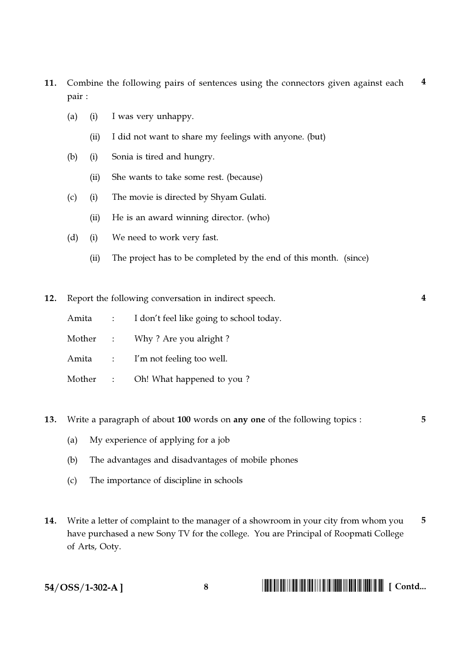- 11. Combine the following pairs of sentences using the connectors given against each pair : 4
	- (a) (i) I was very unhappy.
		- (ii) I did not want to share my feelings with anyone. (but)
	- (b) (i) Sonia is tired and hungry.
		- (ii) She wants to take some rest. (because)
	- (c) (i) The movie is directed by Shyam Gulati.
		- (ii) He is an award winning director. (who)
	- (d) (i) We need to work very fast.
		- (ii) The project has to be completed by the end of this month. (since)
- 12. Report the following conversation in indirect speech.
	- Amita : I don't feel like going to school today.
	- Mother : Why ? Are you alright ?
	- Amita : I'm not feeling too well.
	- Mother : Oh! What happened to you?
- 13. Write a paragraph of about 100 words on any one of the following topics :
	- (a) My experience of applying for a job
	- (b) The advantages and disadvantages of mobile phones
	- (c) The importance of discipline in schools
- 14. Write a letter of complaint to the manager of a showroom in your city from whom you have purchased a new Sony TV for the college. You are Principal of Roopmati College of Arts, Ooty. 5

<sup>54</sup>/OSS/1-302-A ] <sup>8</sup> !54/OSS/1-302-A! [ Contd...

4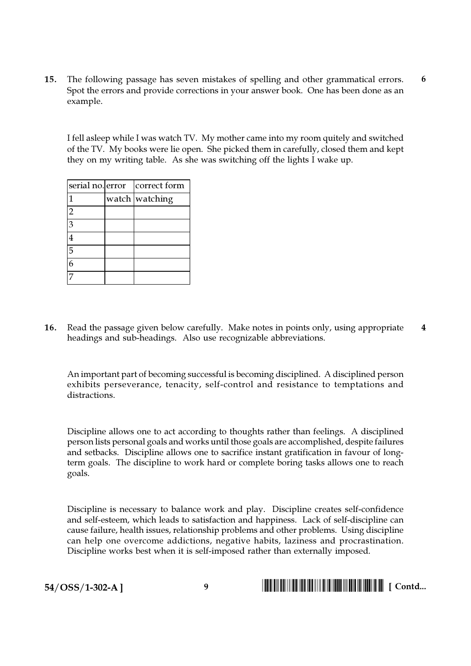15. The following passage has seven mistakes of spelling and other grammatical errors. Spot the errors and provide corrections in your answer book. One has been done as an example. 6

I fell asleep while I was watch TV. My mother came into my room quitely and switched of the TV. My books were lie open. She picked them in carefully, closed them and kept they on my writing table. As she was switching off the lights I wake up.

|                | serial no. error correct form |
|----------------|-------------------------------|
|                | watch watching                |
| $\overline{2}$ |                               |
| $\overline{3}$ |                               |
|                |                               |
| 5              |                               |
| $\overline{6}$ |                               |
|                |                               |

16. Read the passage given below carefully. Make notes in points only, using appropriate headings and sub-headings. Also use recognizable abbreviations. 4

An important part of becoming successful is becoming disciplined. A disciplined person exhibits perseverance, tenacity, self-control and resistance to temptations and distractions.

Discipline allows one to act according to thoughts rather than feelings. A disciplined person lists personal goals and works until those goals are accomplished, despite failures and setbacks. Discipline allows one to sacrifice instant gratification in favour of longterm goals. The discipline to work hard or complete boring tasks allows one to reach goals.

Discipline is necessary to balance work and play. Discipline creates self-confidence and self-esteem, which leads to satisfaction and happiness. Lack of self-discipline can cause failure, health issues, relationship problems and other problems. Using discipline can help one overcome addictions, negative habits, laziness and procrastination. Discipline works best when it is self-imposed rather than externally imposed.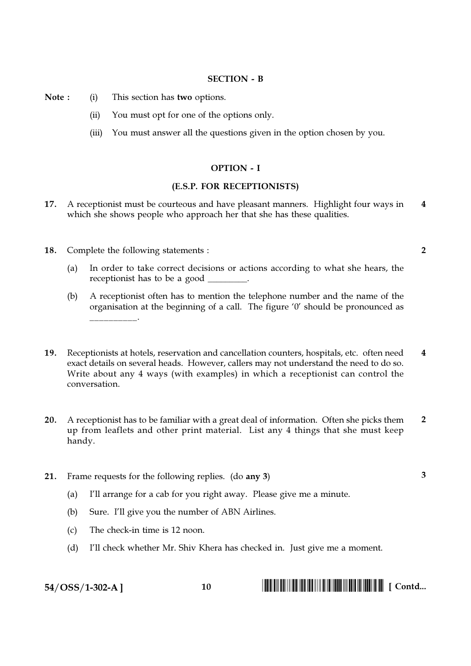#### SECTION - B

- Note : (i) This section has two options.
	- (ii) You must opt for one of the options only.
	- (iii) You must answer all the questions given in the option chosen by you.

#### OPTION - I

#### (E.S.P. FOR RECEPTIONISTS)

- 17. A receptionist must be courteous and have pleasant manners. Highlight four ways in which she shows people who approach her that she has these qualities. 4
- 18. Complete the following statements :
	- (a) In order to take correct decisions or actions according to what she hears, the receptionist has to be a good \_\_\_\_\_\_\_\_\_.
	- (b) A receptionist often has to mention the telephone number and the name of the organisation at the beginning of a call. The figure '0' should be pronounced as \_\_\_\_\_\_\_\_\_\_.
- 19. Receptionists at hotels, reservation and cancellation counters, hospitals, etc. often need exact details on several heads. However, callers may not understand the need to do so. Write about any 4 ways (with examples) in which a receptionist can control the conversation. 4
- 20. A receptionist has to be familiar with a great deal of information. Often she picks them up from leaflets and other print material. List any 4 things that she must keep handy. 2
- 21. Frame requests for the following replies. (do any 3)
	- (a) I'll arrange for a cab for you right away. Please give me a minute.
	- (b) Sure. I'll give you the number of ABN Airlines.
	- (c) The check-in time is 12 noon.
	- (d) I'll check whether Mr. Shiv Khera has checked in. Just give me a moment.

<sup>54</sup>/OSS/1-302-A ] <sup>10</sup> !54/OSS/1-302-A! [ Contd...

2